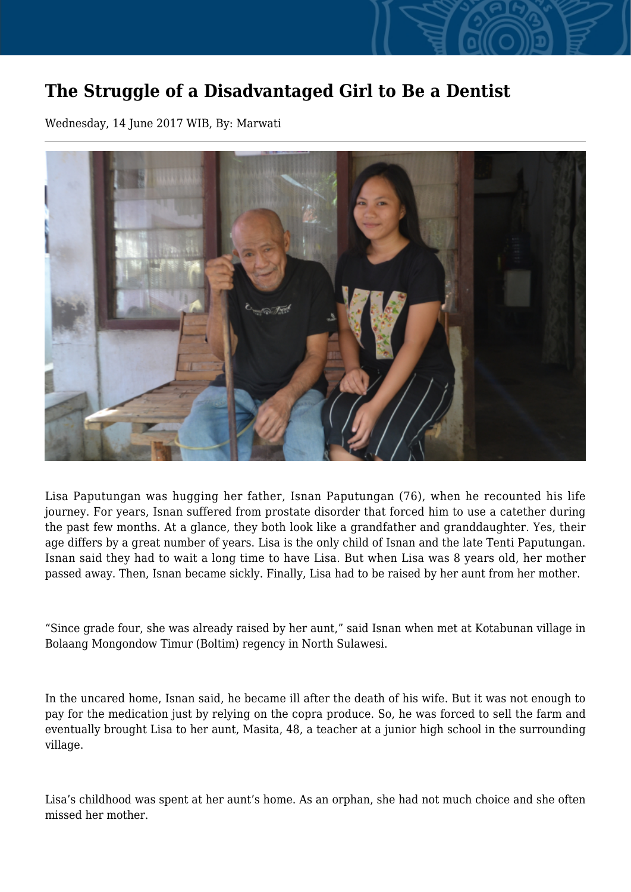## **The Struggle of a Disadvantaged Girl to Be a Dentist**

Wednesday, 14 June 2017 WIB, By: Marwati



Lisa Paputungan was hugging her father, Isnan Paputungan (76), when he recounted his life journey. For years, Isnan suffered from prostate disorder that forced him to use a catether during the past few months. At a glance, they both look like a grandfather and granddaughter. Yes, their age differs by a great number of years. Lisa is the only child of Isnan and the late Tenti Paputungan. Isnan said they had to wait a long time to have Lisa. But when Lisa was 8 years old, her mother passed away. Then, Isnan became sickly. Finally, Lisa had to be raised by her aunt from her mother.

"Since grade four, she was already raised by her aunt," said Isnan when met at Kotabunan village in Bolaang Mongondow Timur (Boltim) regency in North Sulawesi.

In the uncared home, Isnan said, he became ill after the death of his wife. But it was not enough to pay for the medication just by relying on the copra produce. So, he was forced to sell the farm and eventually brought Lisa to her aunt, Masita, 48, a teacher at a junior high school in the surrounding village.

Lisa's childhood was spent at her aunt's home. As an orphan, she had not much choice and she often missed her mother.